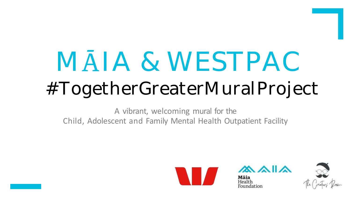# MAIA & WESTPAC #TogetherGreaterMuralProject

A vibrant, welcoming mural for the Child, Adolescent and Family Mental Health Outpatient Facility





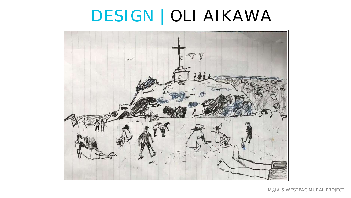#### DESIGN | OLI AIKAWA

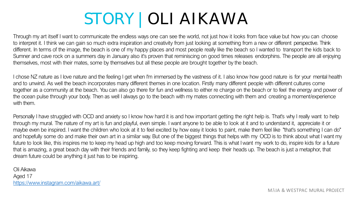# STORY | OLI AIKAWA

Through my art itself I want to communicate the endless ways one can see the world, not just how it looks from face value but how you can choose to interpret it. I think we can gain so much extra inspiration and creativity from just looking at something from a new or different perspective. Think different. In terms of the image, the beach is one of my happy places and most people really like the beach so I wanted to transport the kids back to Sumner and cave rock on a summers day in January also it's proven that reminiscing on good times releases endorphins. The people are all enjoying themselves, most with their mates, some by themselves but all these people are brought together by the beach.

I chose NZ nature as I love nature and the feeling I get when I'm immersed by the vastness of it. I also know how good nature is for your mental health and to unwind. As well the beach incorporates many different themes in one location. Firstly many different people with different cultures come together as a community at the beach. You can also go there for fun and wellness to either re charge on the beach or to feel the energy and power of the ocean pulse through your body. Then as well I always go to the beach with my mates connecting with them and creating a moment/experience with them.

Personally I have struggled with OCD and anxiety so I know how hard it is and how important getting the right help is. That's why I really want to help through my mural. The nature of my art is fun and playful, even simple. I want anyone to be able to look at it and to understand it, appreciate it or maybe even be inspired. I want the children who look at it to feel excited by how easy it looks to paint, make them feel like "that's something I can do" and hopefully some do and make their own art in a similar way. But one of the biggest things that helps with my OCD is to think about what I want my future to look like, this inspires me to keep my head up high and too keep moving forward. This is what I want my work to do, inspire kids for a future that is amazing, a great beach day with their friends and family, so they keep fighting and keep their heads up. The beach is just a metaphor, that dream future could be anything it just has to be inspiring.

Oli Aikawa Aged 17 [https://www.instagram.com/aikawa.art/](http://www.instagram.com/aikawa.art/)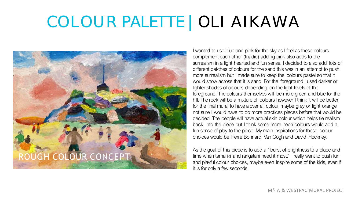# COLOUR PALETTE | OLI AIKAWA



I wanted to use blue and pink for the sky as I feel as these colours complement each other (triadic) adding pink also adds to the surrealism in a light hearted and fun sense. I decided to also add lots of different patches of colours for the sand this was in an attempt to push more surrealism but I made sure to keep the colours pastel so that it would show across that it is sand. For the foreground I used darker or lighter shades of colours depending on the light levels of the foreground. The colours themselves will be more green and blue for the hill. The rock will be a mixture of colours however I think it will be better for the final mural to have a over all colour maybe grey or light orange not sure I would have to do more practices pieces before that would be decided. The people will have actual skin colour which helps tie realism back into the piece but I think some more neon colours would add a fun sense of play to the piece. My main inspirations for these colour choices would be Pierre Bonnard, Van Gogh and David Hockney.

As the goal of this piece is to add a " burst of brightness to a place and time when tamariki and rangatahi need it most." I really want to push fun and playful colour choices, maybe even inspire some of the kids, even if it is for only a few seconds.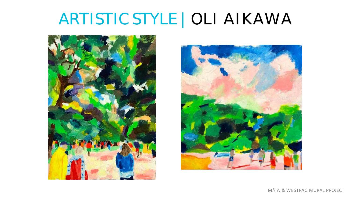#### ARTISTIC STYLE | OLI AIKAWA



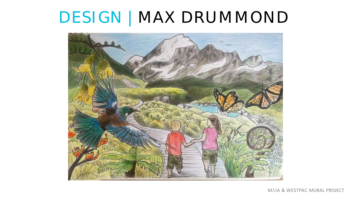#### DESIGN | MAX DRUMMOND

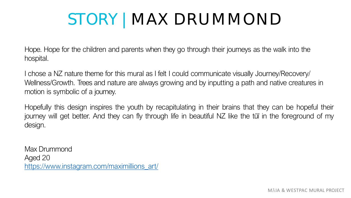# STORY | MAX DRUMMOND

Hope. Hope for the children and parents when they go through their journeys as the walk into the hospital.

I chose a NZ nature theme for this mural as I felt I could communicate visually Journey/Recovery/ Wellness/Growth. Trees and nature are always growing and by inputting a path and native creatures in motion is symbolic of a journey.

Hopefully this design inspires the youth by recapitulating in their brains that they can be hopeful their journey will get better. And they can fly through life in beautiful NZ like the tūī in the foreground of my design.

Max Drummond Aged 20 [https://www.instagram.com/maximillions\\_art/](http://www.instagram.com/maximillions_art/)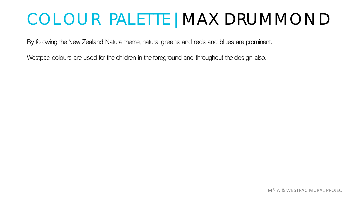# C OLOU R PALETTE | MAX DRUMMO N D

By following the New Zealand Nature theme, natural greens and reds and blues are prominent.

Westpac colours are used for the children in the foreground and throughout the design also.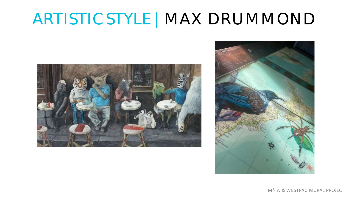# ARTISTIC STYLE | MAX DRUMMOND



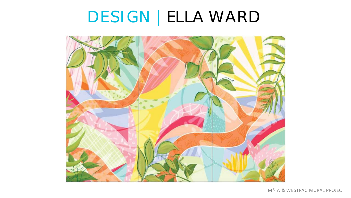# DESIGN | ELLA WARD

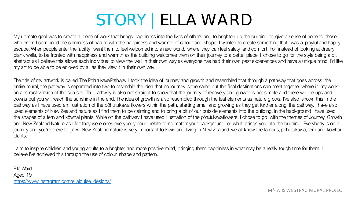# STORY | ELLA WARD

My ultimate goal was to create a piece of work that brings happiness into the lives of others and to brighten up the building to give a sense of hope to those who enter. I combined the calmness of nature with the happiness and warmth of colour and shape. I wanted to create something that was a playful and happy escape. When people enter the facility I want them to feel welcomed into a new world, where they can feel safety and comfort. For instead of looking at dreary blank walls, to be fronted with happiness and warmth as the building welcomes them on their journey to a better place. I chose to go for the style being a bit abstract as I believe this allows each individual to view the wall in their own way as everyone has had their own past experiences and have a unique mind. I'd like my art to be able to be enjoyed by all as they view it in their own way.

The title of my artwork is called The Pōhutukawa Pathway. I took the idea of journey and growth and resembled that through a pathway that goes across the entire mural, the pathway is separated into two to resemble the idea that no journey is the same but the final destinations can meet together where in my work an abstract version of the sun sits. The pathway is also not straight to show that the journey of recovery and growth is not simple and there will be ups and downs but you will reach the sunshine in the end. The idea of growth is also resembled through the leaf elements as nature grows. I've also shown this in the pathway as I have used an illustration of the pōhutukawa flowers within the path, starting small and growing as they get further along the pathway. I have also used elements of New Zealand nature as I find them to be calming and to bring a bit of our outside elements into the building. In the background I have used the shapes of a fern and kōwhai plants. While on the pathway I have used illustration of the pōhutukawaflowers. I chose to go with the themes of Journey, Growth and New Zealand Nature as I felt they were ones everybody could relate to no matter your background, or what brings you into the building. Everybody is on a journey and you're there to grow. New Zealand nature is very important to kiwis and living in New Zealand we all know the famous, pōhutukawa, fern and kowhai plants.

I aim to inspire children and young adults to a brighter and more positive mind, bringing them happiness in what may be a really tough time for them. I believe I've achieved this through the use of colour, shape and pattern.

Ella Ward Aged 19 [https://www.instagram.com/ellalouise\\_designs/](http://www.instagram.com/ellalouise_designs/)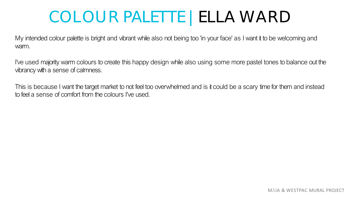#### COLOUR PALETTE | ELLA WARD

My intended colour palette is bright and vibrant while also not being too 'in your face' as I want it to be welcoming and warm.

I've used majority warm colours to create this happy design while also using some more pastel tones to balance out the vibrancy with a sense of calmness.

This is because I want the target market to not feel too overwhelmed and is it could be a scary time for them and instead to feel a sense of comfort from the colours I've used.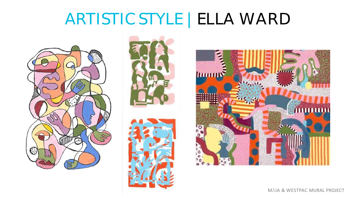#### ARTISTIC STYLE | ELLA WARD









MĀIA & WESTPAC MURAL PROJECT